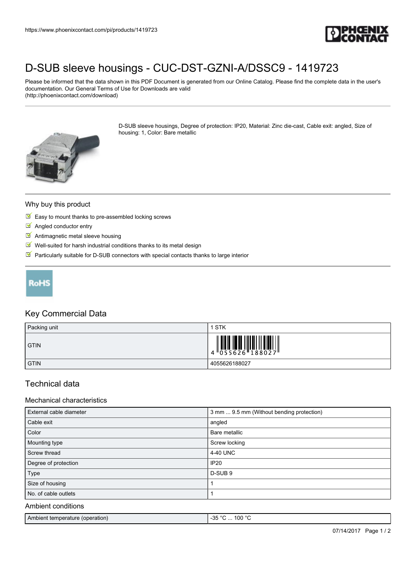

# [D-SUB sleeve housings - CUC-DST-GZNI-A/DSSC9 - 1419723](https://www.phoenixcontact.com/pi/products/1419723)

Please be informed that the data shown in this PDF Document is generated from our Online Catalog. Please find the complete data in the user's documentation. Our General Terms of Use for Downloads are valid (http://phoenixcontact.com/download)

> D-SUB sleeve housings, Degree of protection: IP20, Material: Zinc die-cast, Cable exit: angled, Size of housing: 1, Color: Bare metallic



### Why buy this product

- $\triangleright$  Easy to mount thanks to pre-assembled locking screws
- **M** Angled conductor entry
- **M** Antimagnetic metal sleeve housing
- $\blacksquare$  Well-suited for harsh industrial conditions thanks to its metal design
- $\blacksquare$  Particularly suitable for D-SUB connectors with special contacts thanks to large interior



### Key Commercial Data

| Packing unit | STK                                                                                                                                                                                                                                                                                                                                                                                                                                                                                |
|--------------|------------------------------------------------------------------------------------------------------------------------------------------------------------------------------------------------------------------------------------------------------------------------------------------------------------------------------------------------------------------------------------------------------------------------------------------------------------------------------------|
| <b>GTIN</b>  | $\left\  \begin{matrix} 1 \\ 0 \\ 5 \\ 5 \\ 6 \end{matrix} \right\  = \left\  \begin{matrix} 1 \\ 0 \\ 1 \\ 8 \\ 1 \end{matrix} \right\  = \left\  \begin{matrix} 1 \\ 0 \\ 1 \\ 0 \\ 0 \end{matrix} \right\  = \left\  \begin{matrix} 1 \\ 0 \\ 0 \\ 1 \\ 0 \end{matrix} \right\  = \left\  \begin{matrix} 1 \\ 0 \\ 0 \\ 0 \end{matrix} \right\  = \left\  \begin{matrix} 1 \\ 0 \\ 0 \\ 0 \end{matrix} \right\  = \left\  \begin{matrix} 1 \\ 0 \\ 0 \\ 0 \end{matrix} \right\$ |
| <b>GTIN</b>  | 4055626188027                                                                                                                                                                                                                                                                                                                                                                                                                                                                      |

## Technical data

#### Mechanical characteristics

| External cable diameter | 3 mm  9.5 mm (Without bending protection) |
|-------------------------|-------------------------------------------|
| Cable exit              | angled                                    |
| Color                   | Bare metallic                             |
| Mounting type           | Screw locking                             |
| Screw thread            | 4-40 UNC                                  |
| Degree of protection    | <b>IP20</b>                               |
| Type                    | D-SUB <sub>9</sub>                        |
| Size of housing         |                                           |
| No. of cable outlets    |                                           |
| Ambient conditions      |                                           |

# Ambient temperature (operation)  $-35 °C$  ... 100 °C